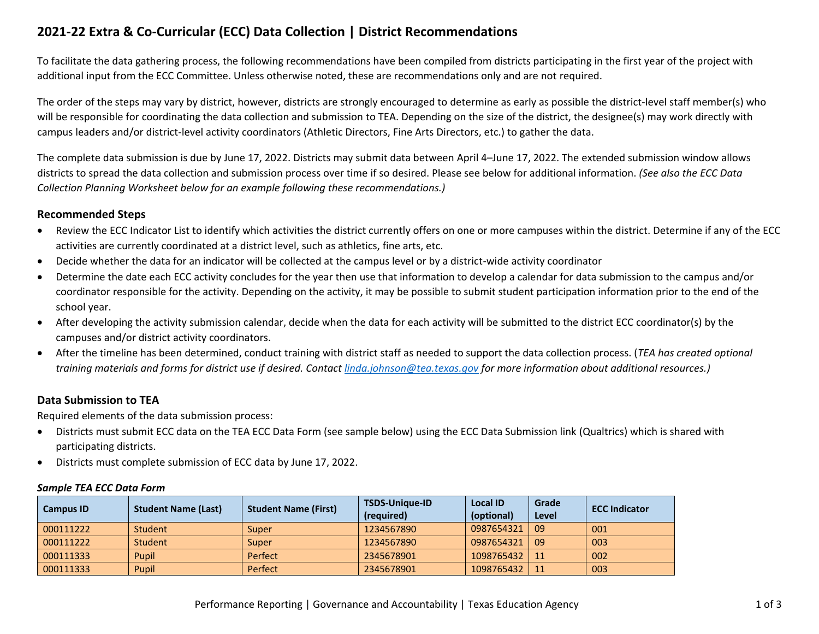# **2021-22 Extra & Co-Curricular (ECC) Data Collection | District Recommendations**

To facilitate the data gathering process, the following recommendations have been compiled from districts participating in the first year of the project with additional input from the ECC Committee. Unless otherwise noted, these are recommendations only and are not required.

The order of the steps may vary by district, however, districts are strongly encouraged to determine as early as possible the district-level staff member(s) who will be responsible for coordinating the data collection and submission to TEA. Depending on the size of the district, the designee(s) may work directly with campus leaders and/or district-level activity coordinators (Athletic Directors, Fine Arts Directors, etc.) to gather the data.

The complete data submission is due by June 17, 2022. Districts may submit data between April 4–June 17, 2022. The extended submission window allows districts to spread the data collection and submission process over time if so desired. Please see below for additional information. *(See also the ECC Data Collection Planning Worksheet below for an example following these recommendations.)*

## **Recommended Steps**

- Review the ECC Indicator List to identify which activities the district currently offers on one or more campuses within the district. Determine if any of the ECC activities are currently coordinated at a district level, such as athletics, fine arts, etc.
- Decide whether the data for an indicator will be collected at the campus level or by a district-wide activity coordinator
- Determine the date each ECC activity concludes for the year then use that information to develop a calendar for data submission to the campus and/or coordinator responsible for the activity. Depending on the activity, it may be possible to submit student participation information prior to the end of the school year.
- After developing the activity submission calendar, decide when the data for each activity will be submitted to the district ECC coordinator(s) by the campuses and/or district activity coordinators.
- After the timeline has been determined, conduct training with district staff as needed to support the data collection process. (*TEA has created optional training materials and forms for district use if desired. Contact [linda.johnson@tea.texas.gov](mailto:linda.johnson@tea.texas.gov) for more information about additional resources.)*

# **Data Submission to TEA**

Required elements of the data submission process:

- Districts must submit ECC data on the TEA ECC Data Form (see sample below) using the ECC Data Submission link (Qualtrics) which is shared with participating districts.
- Districts must complete submission of ECC data by June 17, 2022.

### *Sample TEA ECC Data Form*

| <b>Campus ID</b> |                            | <b>Student Name (First)</b> | <b>TSDS-Unique-ID</b> | <b>Local ID</b> | Grade | <b>ECC Indicator</b> |  |
|------------------|----------------------------|-----------------------------|-----------------------|-----------------|-------|----------------------|--|
|                  | <b>Student Name (Last)</b> |                             | (required)            | (optional)      | Level |                      |  |
| 000111222        | Student                    | Super                       | 1234567890            | 0987654321      | 09    | 001                  |  |
| 000111222        | Student                    | Super                       | 1234567890            | 0987654321      | 1.09  | 003                  |  |
| 000111333        | Pupil                      | Perfect                     | 2345678901            | 1098765432      | l 11  | 002                  |  |
| 000111333        | Pupil                      | Perfect                     | 2345678901            | 1098765432      | 11    | 003                  |  |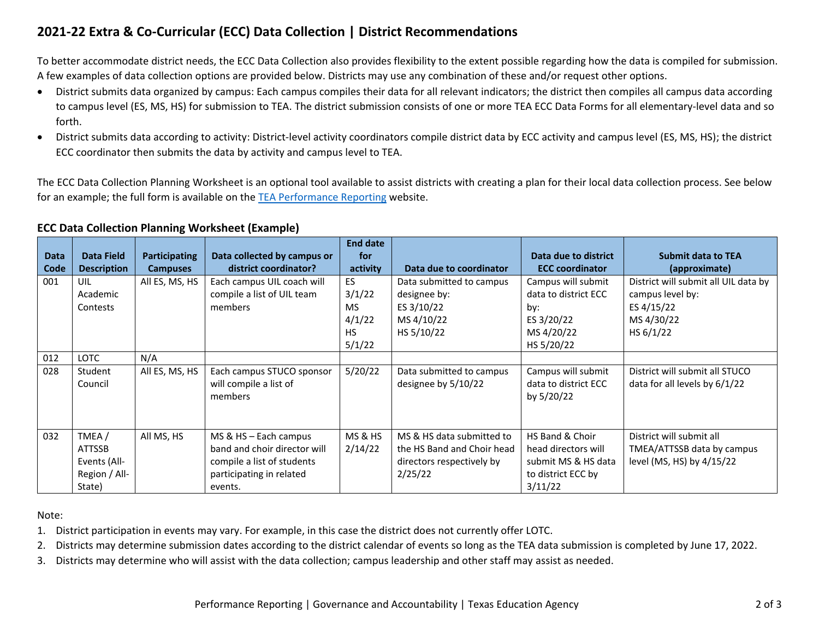# **2021-22 Extra & Co-Curricular (ECC) Data Collection | District Recommendations**

To better accommodate district needs, the ECC Data Collection also provides flexibility to the extent possible regarding how the data is compiled for submission. A few examples of data collection options are provided below. Districts may use any combination of these and/or request other options.

- District submits data organized by campus: Each campus compiles their data for all relevant indicators; the district then compiles all campus data according to campus level (ES, MS, HS) for submission to TEA. The district submission consists of one or more TEA ECC Data Forms for all elementary-level data and so forth.
- District submits data according to activity: District-level activity coordinators compile district data by ECC activity and campus level (ES, MS, HS); the district ECC coordinator then submits the data by activity and campus level to TEA.

The ECC Data Collection Planning Worksheet is an optional tool available to assist districts with creating a plan for their local data collection process. See below for an example; the full form is available on the [TEA Performance Reporting](https://tea.texas.gov/texas-schools/accountability/academic-accountability/performance-reporting) website.

# **ECC Data Collection Planning Worksheet (Example)**

| <b>Data</b> | <b>Data Field</b>                                                 | <b>Participating</b> | Data collected by campus or                                                                                                | <b>End date</b><br>for                                            |                                                                                                 | Data due to district                                                                           | <b>Submit data to TEA</b>                                                                         |
|-------------|-------------------------------------------------------------------|----------------------|----------------------------------------------------------------------------------------------------------------------------|-------------------------------------------------------------------|-------------------------------------------------------------------------------------------------|------------------------------------------------------------------------------------------------|---------------------------------------------------------------------------------------------------|
| Code        | <b>Description</b>                                                | <b>Campuses</b>      | district coordinator?                                                                                                      | activity                                                          | Data due to coordinator                                                                         | <b>ECC coordinator</b>                                                                         | (approximate)                                                                                     |
| 001         | UIL<br>Academic<br>Contests                                       | All ES, MS, HS       | Each campus UIL coach will<br>compile a list of UIL team<br>members                                                        | <b>ES</b><br>3/1/22<br><b>MS</b><br>4/1/22<br><b>HS</b><br>5/1/22 | Data submitted to campus<br>designee by:<br>ES 3/10/22<br>MS 4/10/22<br>HS 5/10/22              | Campus will submit<br>data to district ECC<br>by:<br>ES 3/20/22<br>MS 4/20/22<br>HS 5/20/22    | District will submit all UIL data by<br>campus level by:<br>ES 4/15/22<br>MS 4/30/22<br>HS 6/1/22 |
| 012         | <b>LOTC</b>                                                       | N/A                  |                                                                                                                            |                                                                   |                                                                                                 |                                                                                                |                                                                                                   |
| 028         | Student<br>Council                                                | All ES, MS, HS       | Each campus STUCO sponsor<br>will compile a list of<br>members                                                             | 5/20/22                                                           | Data submitted to campus<br>designee by 5/10/22                                                 | Campus will submit<br>data to district ECC<br>by 5/20/22                                       | District will submit all STUCO<br>data for all levels by 6/1/22                                   |
| 032         | TMEA/<br><b>ATTSSB</b><br>Events (All-<br>Region / All-<br>State) | All MS, HS           | MS & HS - Each campus<br>band and choir director will<br>compile a list of students<br>participating in related<br>events. | <b>MS &amp; HS</b><br>2/14/22                                     | MS & HS data submitted to<br>the HS Band and Choir head<br>directors respectively by<br>2/25/22 | HS Band & Choir<br>head directors will<br>submit MS & HS data<br>to district ECC by<br>3/11/22 | District will submit all<br>TMEA/ATTSSB data by campus<br>level (MS, HS) by 4/15/22               |

Note:

1. District participation in events may vary. For example, in this case the district does not currently offer LOTC.

2. Districts may determine submission dates according to the district calendar of events so long as the TEA data submission is completed by June 17, 2022.

3. Districts may determine who will assist with the data collection; campus leadership and other staff may assist as needed.